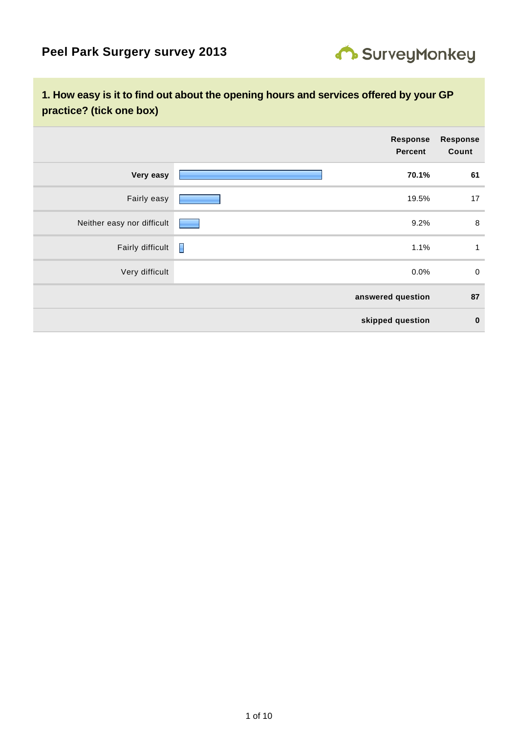

# **1. How easy is it to find out about the opening hours and services offered by your GP practice? (tick one box)**

|                            | Response<br><b>Percent</b> | <b>Response</b><br>Count |
|----------------------------|----------------------------|--------------------------|
| Very easy                  | 70.1%                      | 61                       |
| Fairly easy                | 19.5%                      | 17                       |
| Neither easy nor difficult | 9.2%<br>٠                  | 8                        |
| Fairly difficult           | Γ<br>1.1%                  | $\mathbf{1}$             |
| Very difficult             | 0.0%                       | $\mathbf 0$              |
|                            | answered question          | 87                       |
|                            | skipped question           | $\mathbf 0$              |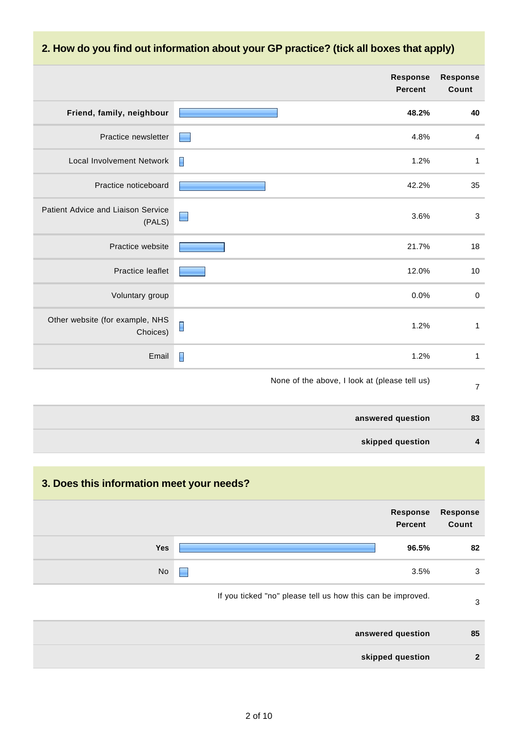# **2. How do you find out information about your GP practice? (tick all boxes that apply)**

|                                              |                | <b>Response</b><br><b>Percent</b>             | <b>Response</b><br>Count |
|----------------------------------------------|----------------|-----------------------------------------------|--------------------------|
| Friend, family, neighbour                    |                | 48.2%                                         | 40                       |
| Practice newsletter                          | E              | 4.8%                                          | $\overline{4}$           |
| <b>Local Involvement Network</b>             |                | 1.2%                                          | $\mathbf{1}$             |
| Practice noticeboard                         |                | 42.2%                                         | 35                       |
| Patient Advice and Liaison Service<br>(PALS) | $\Box$         | 3.6%                                          | $\sqrt{3}$               |
| Practice website                             |                | 21.7%                                         | 18                       |
| Practice leaflet                             |                | 12.0%                                         | 10                       |
| Voluntary group                              |                | 0.0%                                          | $\pmb{0}$                |
| Other website (for example, NHS<br>Choices)  |                | 1.2%                                          | $\mathbf{1}$             |
| Email                                        | $\blacksquare$ | 1.2%                                          | $\mathbf{1}$             |
|                                              |                | None of the above, I look at (please tell us) | $\overline{7}$           |
|                                              |                | answered question                             | 83                       |
|                                              |                | skipped question                              | 4                        |

# **3. Does this information meet your needs?**

| <b>Response</b><br>Count | <b>Response</b><br><b>Percent</b>                           |     |
|--------------------------|-------------------------------------------------------------|-----|
| 82                       | 96.5%                                                       | Yes |
| 3                        | 3.5%<br>н                                                   | No  |
| 3                        | If you ticked "no" please tell us how this can be improved. |     |
| 85                       | answered question                                           |     |
| $\overline{2}$           | skipped question                                            |     |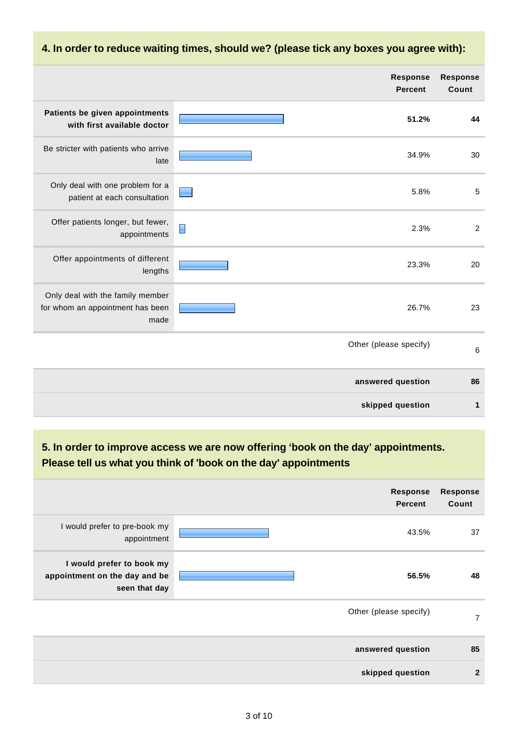#### **Response Response Percent Count Patients be given appointments 51.2% 44 with first available doctor** Be stricter with patients who arrive 34.9% 30 late Only deal with one problem for a 5.8% 5 patient at each consultation Offer patients longer, but fewer, 2.3% 2 appointments Offer appointments of different 23.3% 20 lengths Only deal with the family member for whom an appointment has been 26.7% 23 made Other (please specify) 6 **answered question 86 skipped question 1**

#### **4. In order to reduce waiting times, should we? (please tick any boxes you agree with):**

**5. In order to improve access we are now offering 'book on the day' appointments. Please tell us what you think of 'book on the day' appointments**

| <b>Response</b><br>Count | <b>Response</b><br><b>Percent</b> |                                                                             |
|--------------------------|-----------------------------------|-----------------------------------------------------------------------------|
| 37                       | 43.5%                             | I would prefer to pre-book my<br>appointment                                |
| 48                       | 56.5%                             | I would prefer to book my<br>appointment on the day and be<br>seen that day |
| 7                        | Other (please specify)            |                                                                             |
| 85                       | answered question                 |                                                                             |
| $\mathbf{2}$             | skipped question                  |                                                                             |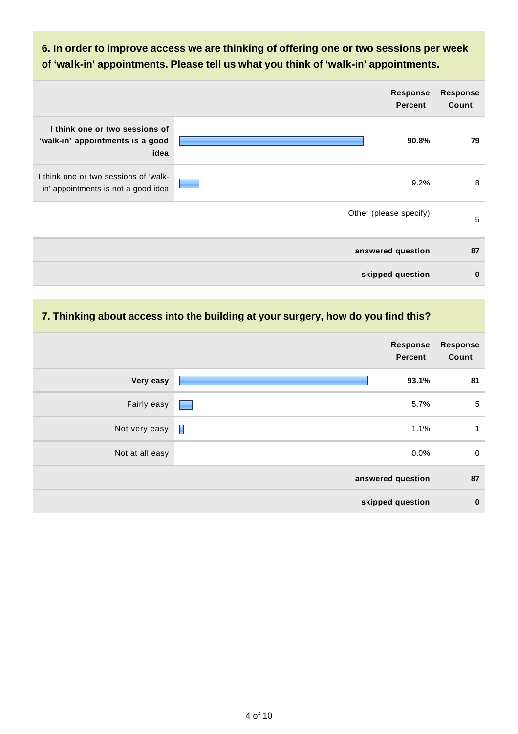### **6. In order to improve access we are thinking of offering one or two sessions per week of 'walk-in' appointments. Please tell us what you think of 'walk-in' appointments.**

|                                                                              | <b>Response</b><br><b>Percent</b> | <b>Response</b><br>Count |
|------------------------------------------------------------------------------|-----------------------------------|--------------------------|
| I think one or two sessions of<br>'walk-in' appointments is a good<br>idea   | 90.8%                             | 79                       |
| I think one or two sessions of 'walk-<br>in' appointments is not a good idea | 9.2%                              | 8                        |
|                                                                              | Other (please specify)            | 5                        |
|                                                                              | answered question                 | 87                       |
|                                                                              | skipped question                  | $\bf{0}$                 |

### **7. Thinking about access into the building at your surgery, how do you find this?**

| <b>Response</b><br>Count | Response<br><b>Percent</b>                |                 |
|--------------------------|-------------------------------------------|-----------------|
| 81                       | 93.1%                                     | Very easy       |
| $\overline{5}$           | 5.7%<br><b>Contract Contract Contract</b> | Fairly easy     |
| 1                        | H<br>1.1%                                 | Not very easy   |
| $\mathbf 0$              | 0.0%                                      | Not at all easy |
| 87                       | answered question                         |                 |
| $\mathbf 0$              | skipped question                          |                 |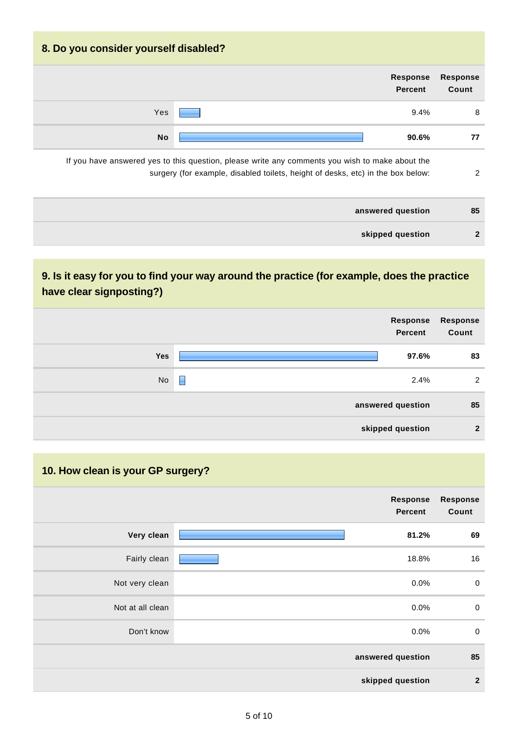| 8. Do you consider yourself disabled? |                                                                                                 |                          |
|---------------------------------------|-------------------------------------------------------------------------------------------------|--------------------------|
|                                       | <b>Response</b><br><b>Percent</b>                                                               | <b>Response</b><br>Count |
| Yes                                   | 9.4%                                                                                            | 8                        |
| <b>No</b>                             | 90.6%                                                                                           | 77                       |
|                                       | If you have answered yes to this question, please write any comments you wish to make about the |                          |

| answered question | 85           |
|-------------------|--------------|
| skipped question  | $\mathbf{r}$ |

surgery (for example, disabled toilets, height of desks, etc) in the box below: 2

# **9. Is it easy for you to find your way around the practice (for example, does the practice have clear signposting?)**

|            | Response<br>Percent | <b>Response</b><br>Count |
|------------|---------------------|--------------------------|
| <b>Yes</b> | 97.6%               | 83                       |
| No         | E<br>2.4%           | 2                        |
|            | answered question   | 85                       |
|            | skipped question    | $\mathbf{2}$             |

|                          |                            | 10. How clean is your GP surgery? |
|--------------------------|----------------------------|-----------------------------------|
| <b>Response</b><br>Count | Response<br><b>Percent</b> |                                   |
| 69                       | 81.2%                      | Very clean                        |
| 16                       | 18.8%                      | Fairly clean                      |
| $\boldsymbol{0}$         | 0.0%                       | Not very clean                    |
| $\mathbf 0$              | 0.0%                       | Not at all clean                  |
| $\mathbf 0$              | 0.0%                       | Don't know                        |
| 85                       | answered question          |                                   |
| $\overline{2}$           | skipped question           |                                   |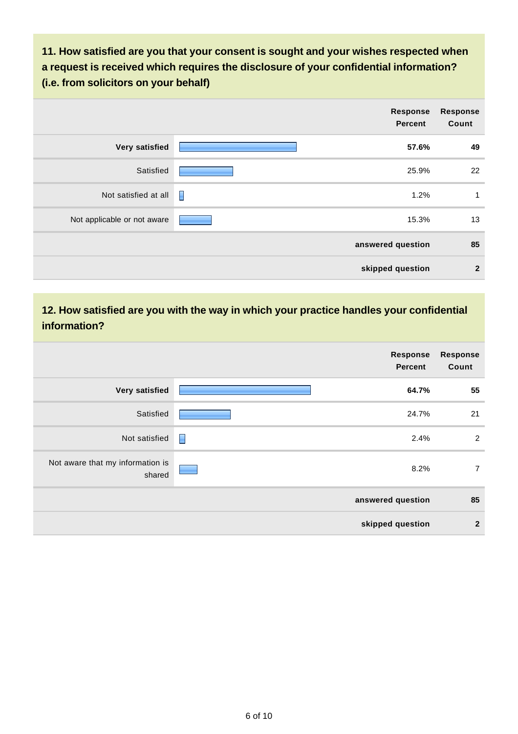**11. How satisfied are you that your consent is sought and your wishes respected when a request is received which requires the disclosure of your confidential information? (i.e. from solicitors on your behalf)**

|                             |   | Response<br><b>Percent</b> | <b>Response</b><br>Count |
|-----------------------------|---|----------------------------|--------------------------|
| Very satisfied              |   | 57.6%                      | 49                       |
| Satisfied                   |   | 25.9%                      | 22                       |
| Not satisfied at all        | H | 1.2%                       | 1                        |
| Not applicable or not aware |   | 15.3%                      | 13                       |
|                             |   | answered question          | 85                       |
|                             |   | skipped question           | $\overline{2}$           |

#### **12. How satisfied are you with the way in which your practice handles your confidential information?**

| <b>Response</b><br>Count | <b>Response</b><br><b>Percent</b> |                                            |
|--------------------------|-----------------------------------|--------------------------------------------|
| 55                       | 64.7%                             | Very satisfied                             |
| 21                       | 24.7%                             | Satisfied                                  |
| $\overline{2}$           | Π<br>2.4%                         | Not satisfied                              |
| $\overline{7}$           | 8.2%                              | Not aware that my information is<br>shared |
| 85                       | answered question                 |                                            |
| $\mathbf{2}$             | skipped question                  |                                            |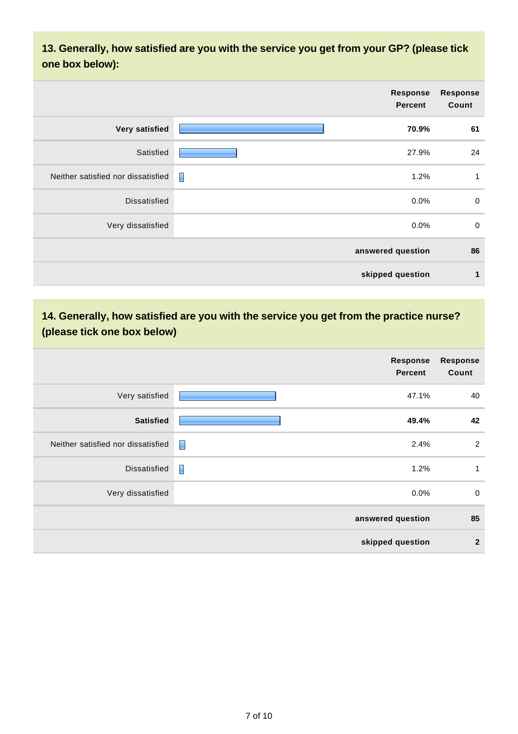**13. Generally, how satisfied are you with the service you get from your GP? (please tick one box below):**

|                                    | Response<br><b>Percent</b> | <b>Response</b><br>Count |
|------------------------------------|----------------------------|--------------------------|
| Very satisfied                     | 70.9%                      | 61                       |
| Satisfied                          | 27.9%                      | 24                       |
| Neither satisfied nor dissatisfied | Γ<br>1.2%                  | 1                        |
| <b>Dissatisfied</b>                | 0.0%                       | $\mathbf 0$              |
| Very dissatisfied                  | 0.0%                       | $\mathbf 0$              |
|                                    | answered question          | 86                       |
|                                    | skipped question           | 1                        |

# **14. Generally, how satisfied are you with the service you get from the practice nurse? (please tick one box below)**

|                                    | Response<br><b>Percent</b> | <b>Response</b><br>Count |
|------------------------------------|----------------------------|--------------------------|
| Very satisfied                     | 47.1%                      | 40                       |
| <b>Satisfied</b>                   | 49.4%                      | 42                       |
| Neither satisfied nor dissatisfied | $\blacksquare$<br>2.4%     | $\overline{2}$           |
| <b>Dissatisfied</b>                | I<br>1.2%                  | $\mathbf{1}$             |
| Very dissatisfied                  | 0.0%                       | $\mathbf 0$              |
|                                    | answered question          | 85                       |
|                                    | skipped question           | $\overline{2}$           |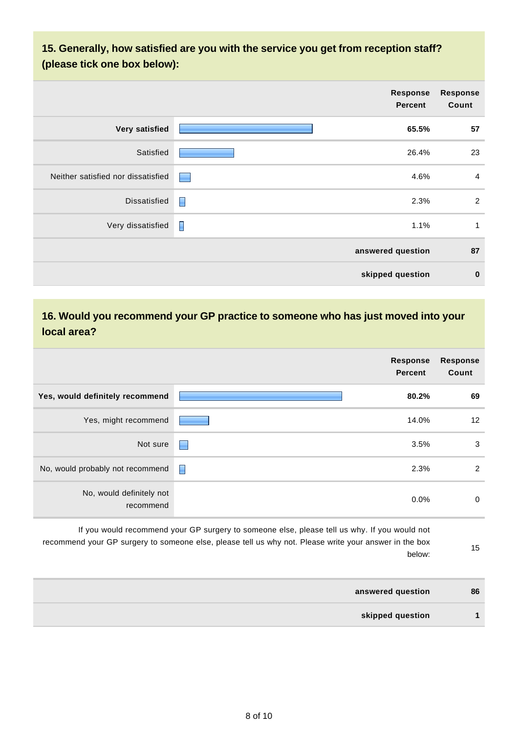### **15. Generally, how satisfied are you with the service you get from reception staff? (please tick one box below):**

|                                    | Response<br><b>Percent</b>                | Response<br>Count |
|------------------------------------|-------------------------------------------|-------------------|
| Very satisfied                     | 65.5%                                     | 57                |
| Satisfied                          | 26.4%                                     | 23                |
| Neither satisfied nor dissatisfied | 4.6%<br><b>Contract Contract Contract</b> | $\overline{4}$    |
| <b>Dissatisfied</b>                | П<br>2.3%                                 | 2                 |
| Very dissatisfied                  | П<br>1.1%                                 | 1                 |
|                                    | answered question                         | 87                |
|                                    | skipped question                          | $\bf{0}$          |

#### **16. Would you recommend your GP practice to someone who has just moved into your local area?**

|                                       |    | <b>Response</b><br><b>Percent</b> | <b>Response</b><br>Count |
|---------------------------------------|----|-----------------------------------|--------------------------|
| Yes, would definitely recommend       |    | 80.2%                             | 69                       |
| Yes, might recommend                  |    | 14.0%                             | 12                       |
| Not sure                              | L. | 3.5%                              | 3                        |
| No, would probably not recommend      | ▉  | 2.3%                              | 2                        |
| No, would definitely not<br>recommend |    | 0.0%                              | 0                        |

If you would recommend your GP surgery to someone else, please tell us why. If you would not recommend your GP surgery to someone else, please tell us why not. Please write your answer in the box below:

15

| answered question | 86 |
|-------------------|----|
| skipped question  |    |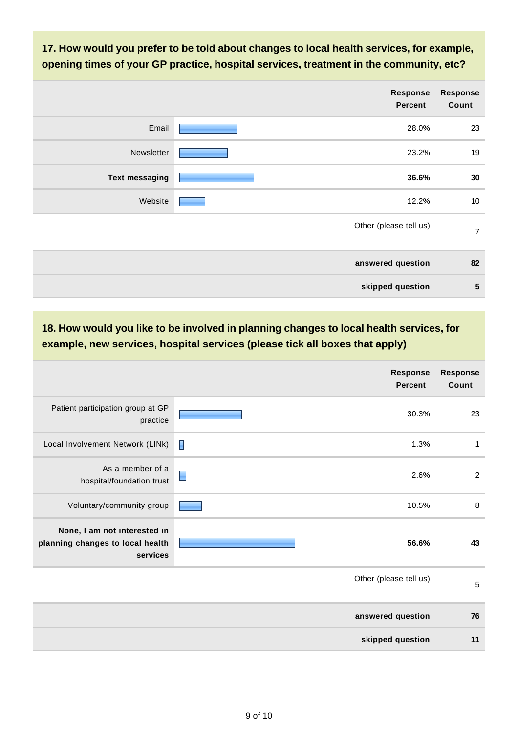**17. How would you prefer to be told about changes to local health services, for example, opening times of your GP practice, hospital services, treatment in the community, etc?**

|                       | Response<br><b>Percent</b> | <b>Response</b><br>Count |
|-----------------------|----------------------------|--------------------------|
| Email                 | 28.0%                      | 23                       |
| Newsletter            | 23.2%                      | 19                       |
| <b>Text messaging</b> | 36.6%                      | 30                       |
| Website               | 12.2%                      | 10                       |
|                       | Other (please tell us)     | $\overline{7}$           |
|                       | answered question          | 82                       |
|                       | skipped question           | $5\phantom{1}$           |

**18. How would you like to be involved in planning changes to local health services, for example, new services, hospital services (please tick all boxes that apply)**

|                                                                              | <b>Response</b><br><b>Percent</b> | <b>Response</b><br>Count |
|------------------------------------------------------------------------------|-----------------------------------|--------------------------|
| Patient participation group at GP<br>practice                                | 30.3%                             | 23                       |
| Local Involvement Network (LINk)                                             | E<br>1.3%                         | 1                        |
| As a member of a<br>hospital/foundation trust                                | 2.6%                              | $\sqrt{2}$               |
| Voluntary/community group                                                    | 10.5%                             | 8                        |
| None, I am not interested in<br>planning changes to local health<br>services | 56.6%                             | 43                       |
|                                                                              | Other (please tell us)            | 5                        |
|                                                                              | answered question                 | 76                       |
|                                                                              | skipped question                  | 11                       |